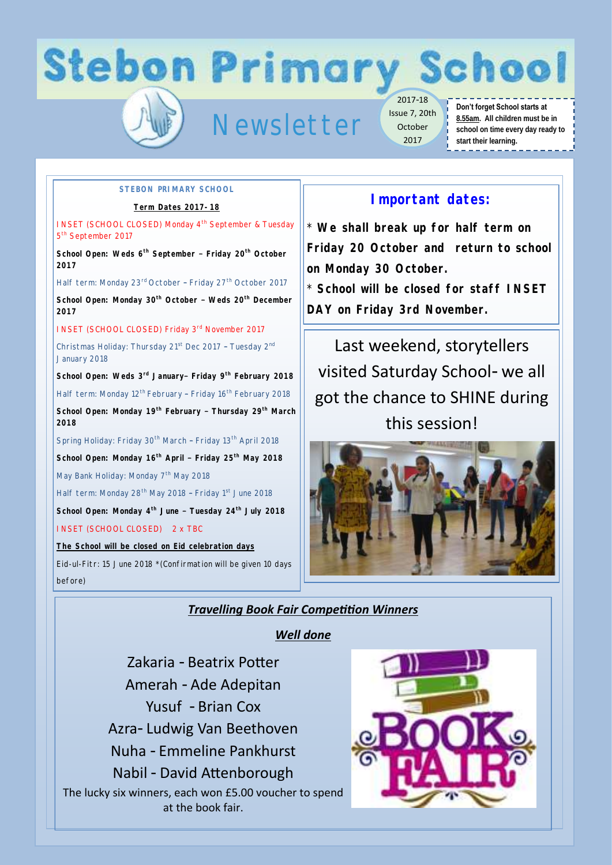**Stebon Primary School** 

# Newsletter

2017-18 Issue 7, 20th October 2017

#### **Don't forget School starts at 8.55am. All children must be in school on time every day ready to start their learning.**

#### **STEBON PRIMARY SCHOOL**

**Term Dates 2017-18**

**INSET (SCHOOL CLOSED) Monday 4<sup>th</sup> September & Tuesday** 5<sup>th</sup> September 2017

**School Open: Weds 6th September – Friday 20th October 2017**

Half term: Monday 23<sup>rd</sup> October - Friday 27<sup>th</sup> October 2017

**School Open: Monday 30th October – Weds 20th December 2017** 

INSET (SCHOOL CLOSED) Friday 3<sup>rd</sup> November 2017

Christmas Holiday: Thursday 21<sup>st</sup> Dec 2017 - Tuesday 2<sup>nd</sup> January 2018

**School Open: Weds 3rd January– Friday 9th February 2018**

Half term: Monday 12<sup>th</sup> February - Friday 16<sup>th</sup> February 2018

**School Open: Monday 19th February – Thursday 29th March 2018**

Spring Holiday: Friday 30<sup>th</sup> March - Friday 13<sup>th</sup> April 2018 **School Open: Monday 16th April – Friday 25th May 2018** May Bank Holiday: Monday 7<sup>th</sup> May 2018

Half term: Monday 28<sup>th</sup> May 2018 - Friday 1<sup>st</sup> June 2018 **School Open: Monday 4th June – Tuesday 24th July 2018**

INSET (SCHOOL CLOSED) 2 x TBC

**The School will be closed on Eid celebration days**

Eid-ul-Fitr: 15 June 2018 \*(Confirmation will be given 10 days before)

## **Important dates:**

\* **We shall break up for half term on Friday 20 October and return to school on Monday 30 October.** 

\* **School will be closed for staff INSET DAY on Friday 3rd November.**

Last weekend, storytellers visited Saturday School- we all got the chance to SHINE during this session!



### *Travelling Book Fair Competition Winners*

*Well done* 

Zakaria - Beatrix Potter Amerah - Ade Adepitan Yusuf - Brian Cox Azra- Ludwig Van Beethoven Nuha - Emmeline Pankhurst Nabil - David Attenborough The lucky six winners, each won £5.00 voucher to spend at the book fair.